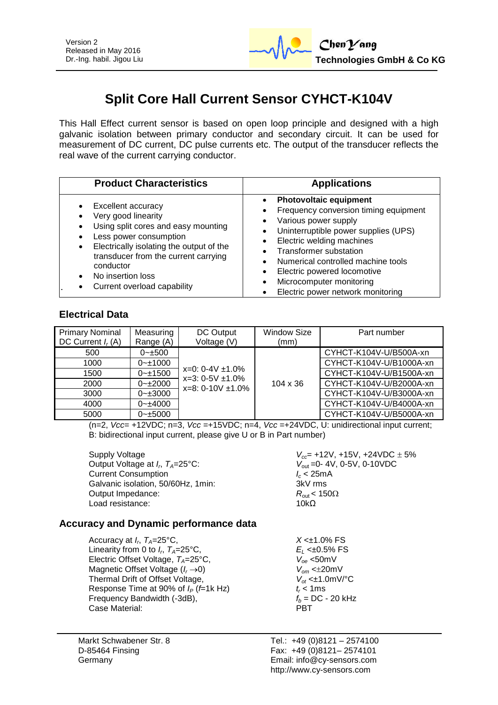

# **Split Core Hall Current Sensor CYHCT-K104V**

This Hall Effect current sensor is based on open loop principle and designed with a high galvanic isolation between primary conductor and secondary circuit. It can be used for measurement of DC current, DC pulse currents etc. The output of the transducer reflects the real wave of the current carrying conductor.

| <b>Product Characteristics</b>                                                                                                                                                                                                                                            | <b>Applications</b>                                                                                                                                                                                                                                                                                                                        |
|---------------------------------------------------------------------------------------------------------------------------------------------------------------------------------------------------------------------------------------------------------------------------|--------------------------------------------------------------------------------------------------------------------------------------------------------------------------------------------------------------------------------------------------------------------------------------------------------------------------------------------|
| Excellent accuracy<br>Very good linearity<br>Using split cores and easy mounting<br>٠<br>Less power consumption<br>Electrically isolating the output of the<br>٠<br>transducer from the current carrying<br>conductor<br>No insertion loss<br>Current overload capability | <b>Photovoltaic equipment</b><br>Frequency conversion timing equipment<br>Various power supply<br>Uninterruptible power supplies (UPS)<br>Electric welding machines<br><b>Transformer substation</b><br>Numerical controlled machine tools<br>Electric powered locomotive<br>Microcomputer monitoring<br>Electric power network monitoring |

### **Electrical Data**

| <b>Primary Nominal</b><br>DC Current $I_r(A)$ | Measuring<br>Range (A) | DC Output<br>Voltage (V)                                                   | <b>Window Size</b><br>(mm) | Part number             |
|-----------------------------------------------|------------------------|----------------------------------------------------------------------------|----------------------------|-------------------------|
| 500                                           | $0 - \pm 500$          |                                                                            |                            | CYHCT-K104V-U/B500A-xn  |
| 1000                                          | $0 - 1000$             | $x=0$ : 0-4V $\pm$ 1.0%<br>$x=3: 0-5V \pm 1.0\%$<br>$x=8: 0-10V \pm 1.0\%$ |                            | CYHCT-K104V-U/B1000A-xn |
| 1500                                          | $0 - 1500$             |                                                                            | $104 \times 36$            | CYHCT-K104V-U/B1500A-xn |
| 2000                                          | $0 - 2000$             |                                                                            |                            | CYHCT-K104V-U/B2000A-xn |
| 3000                                          | $0 - 3000$             |                                                                            |                            | CYHCT-K104V-U/B3000A-xn |
| 4000                                          | $0 - \pm 4000$         |                                                                            |                            | CYHCT-K104V-U/B4000A-xn |
| 5000                                          | $0 - \pm 5000$         |                                                                            |                            | CYHCT-K104V-U/B5000A-xn |

 $(n=2, \text{ Vcc} = +12 \text{ VDC}; n=3, \text{ Vcc} = +15 \text{ VDC}; n=4, \text{ Vcc} = +24 \text{ VDC}, U:$  unidirectional input current; B: bidirectional input current, please give U or B in Part number)

Supply Voltage *V*<sub>cc</sub> =  $+12V$ ,  $+15V$ ,  $+24VDC \pm 5%$ Output Voltage at *I<sub><i>r*</sub></sub> $T_A=25^{\circ}$ C: Current Consumption<br>Galvanic isolation, 50/60Hz, 1min:<br>3kV rms Galvanic isolation, 50/60Hz, 1min: Output Impedance: *R*<sub>out</sub> < 150Ω<br>Load resistance: 10kO Load resistance:

 $V_{\text{out}}$  = 0- 4V, 0-5V, 0-10VDC<br> $I_{\text{c}}$  < 25mA

#### **Accuracy and Dynamic performance data**

Accuracy at *I<sub>p</sub>*,  $T_A=25^{\circ}C$ , Linearity from 0 to  $I_r$ ,  $T_A = 25^\circ \text{C}$ , Electric Offset Voltage, *TA*=25°C, *Voe* <50mV Magnetic Offset Voltage ( $I_r \rightarrow 0$ )  $V_{om} < \pm 20 \text{mV}$ <br>Thermal Drift of Offset Voltage,  $V_{of} < \pm 1.0 \text{mV}$ °C Thermal Drift of Offset Voltage,  $V_{ot} < \pm 1.0$ <br>Response Time at 90% of  $I_P$  (*f*=1k Hz)  $t_r < 1$ ms Response Time at 90% of  $I_P$  (*f*=1k Hz)  $t_r < 1$ ms<br>Frequency Bandwidth (-3dB),  $f_b = DC - 20$  kHz Frequency Bandwidth (-3dB),  $f_b = 0$ <br>Case Material: **PBT** Case Material:

 $X < \pm 1.0\%$  FS , *TA*=25°C, *E<sup>L</sup>* <±0.5% FS